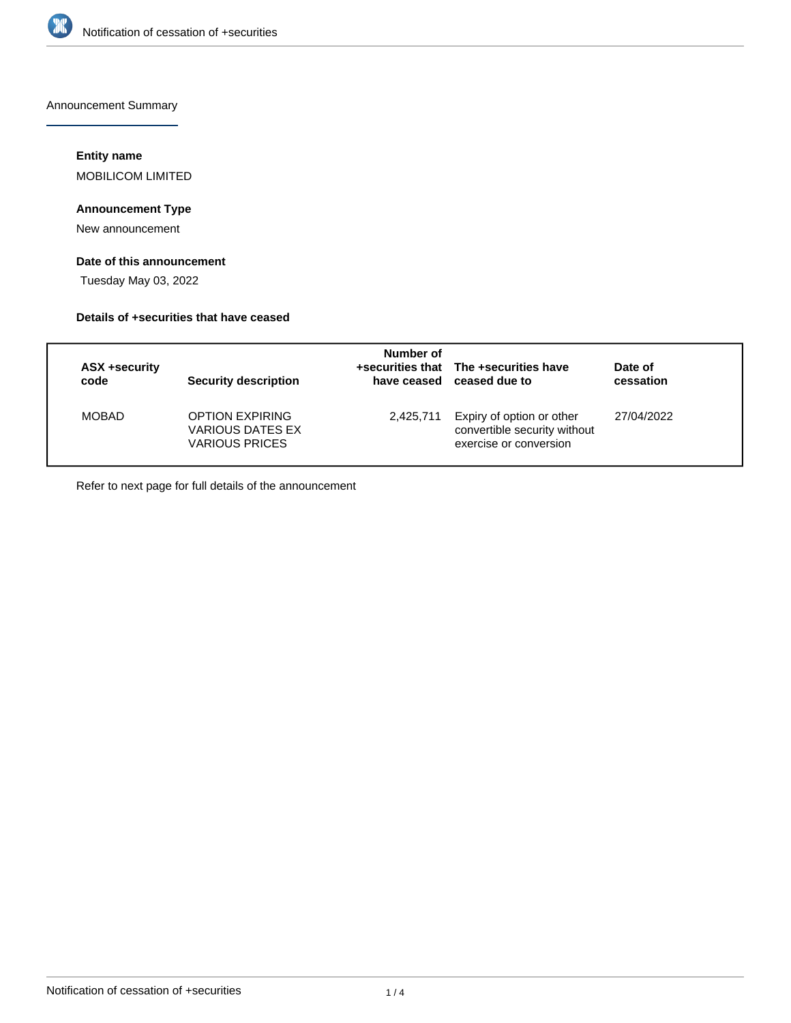

Announcement Summary

# **Entity name**

MOBILICOM LIMITED

# **Announcement Type**

New announcement

# **Date of this announcement**

Tuesday May 03, 2022

#### **Details of +securities that have ceased**

| ASX +security<br>code | <b>Security description</b>                                         | Number of | +securities that The +securities have<br>have ceased ceased due to                  | Date of<br>cessation |
|-----------------------|---------------------------------------------------------------------|-----------|-------------------------------------------------------------------------------------|----------------------|
| <b>MOBAD</b>          | <b>OPTION EXPIRING</b><br><b>VARIOUS DATES EX</b><br>VARIOUS PRICES | 2,425,711 | Expiry of option or other<br>convertible security without<br>exercise or conversion | 27/04/2022           |

Refer to next page for full details of the announcement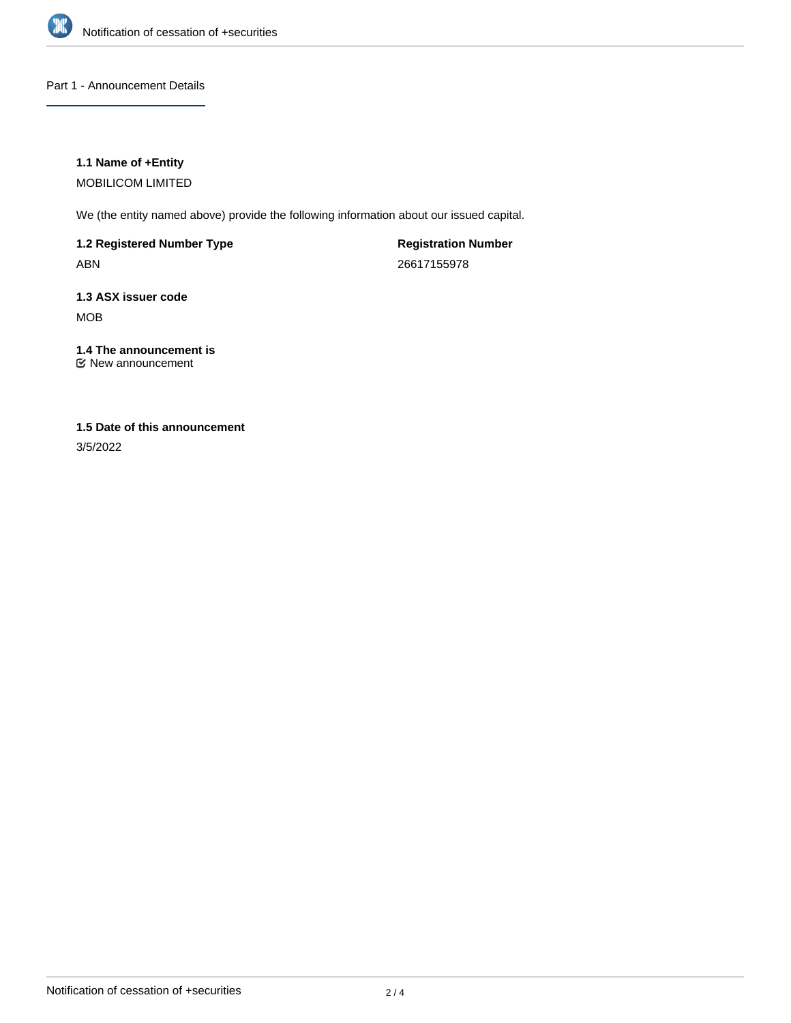

Part 1 - Announcement Details

### **1.1 Name of +Entity**

MOBILICOM LIMITED

We (the entity named above) provide the following information about our issued capital.

**1.2 Registered Number Type** ABN

**Registration Number** 26617155978

**1.3 ASX issuer code** MOB

**1.4 The announcement is** New announcement

# **1.5 Date of this announcement**

3/5/2022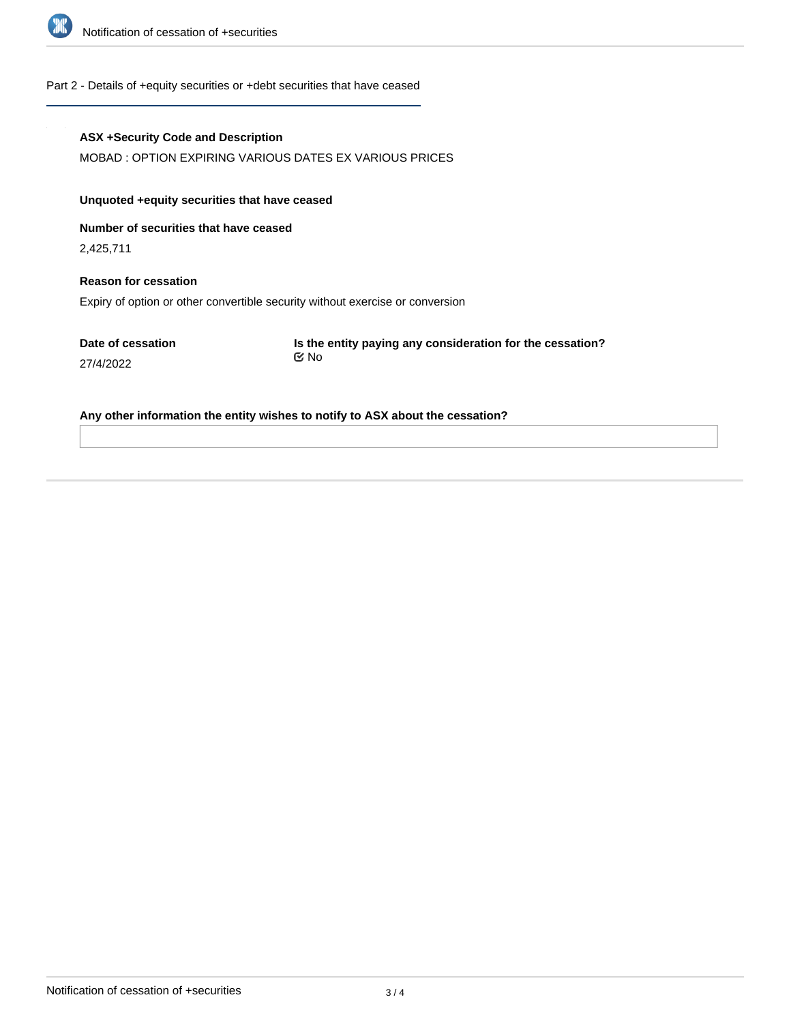

#### Part 2 - Details of +equity securities or +debt securities that have ceased

#### **ASX +Security Code and Description**

MOBAD : OPTION EXPIRING VARIOUS DATES EX VARIOUS PRICES

# **Unquoted +equity securities that have ceased**

**Number of securities that have ceased**

2,425,711

27/4/2022

# **Reason for cessation** Expiry of option or other convertible security without exercise or conversion

**Date of cessation**

**Is the entity paying any consideration for the cessation?** No

#### **Any other information the entity wishes to notify to ASX about the cessation?**